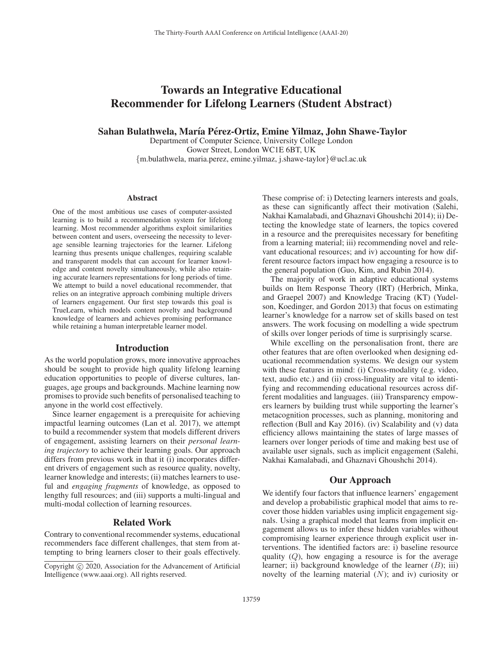# Towards an Integrative Educational Recommender for Lifelong Learners (Student Abstract)

Sahan Bulathwela, María Pérez-Ortiz, Emine Yilmaz, John Shawe-Taylor

Department of Computer Science, University College London Gower Street, London WC1E 6BT, UK {m.bulathwela, maria.perez, emine.yilmaz, j.shawe-taylor}@ucl.ac.uk

#### Abstract

One of the most ambitious use cases of computer-assisted learning is to build a recommendation system for lifelong learning. Most recommender algorithms exploit similarities between content and users, overseeing the necessity to leverage sensible learning trajectories for the learner. Lifelong learning thus presents unique challenges, requiring scalable and transparent models that can account for learner knowledge and content novelty simultaneously, while also retaining accurate learners representations for long periods of time. We attempt to build a novel educational recommender, that relies on an integrative approach combining multiple drivers of learners engagement. Our first step towards this goal is TrueLearn, which models content novelty and background knowledge of learners and achieves promising performance while retaining a human interpretable learner model.

## Introduction

As the world population grows, more innovative approaches should be sought to provide high quality lifelong learning education opportunities to people of diverse cultures, languages, age groups and backgrounds. Machine learning now promises to provide such benefits of personalised teaching to anyone in the world cost effectively.

Since learner engagement is a prerequisite for achieving impactful learning outcomes (Lan et al. 2017), we attempt to build a recommender system that models different drivers of engagement, assisting learners on their *personal learning trajectory* to achieve their learning goals. Our approach differs from previous work in that it (i) incorporates different drivers of engagement such as resource quality, novelty, learner knowledge and interests; (ii) matches learners to useful and *engaging fragments* of knowledge, as opposed to lengthy full resources; and (iii) supports a multi-lingual and multi-modal collection of learning resources.

## Related Work

Contrary to conventional recommender systems, educational recommenders face different challenges, that stem from attempting to bring learners closer to their goals effectively. These comprise of: i) Detecting learners interests and goals, as these can significantly affect their motivation (Salehi, Nakhai Kamalabadi, and Ghaznavi Ghoushchi 2014); ii) Detecting the knowledge state of learners, the topics covered in a resource and the prerequisites necessary for benefiting from a learning material; iii) recommending novel and relevant educational resources; and iv) accounting for how different resource factors impact how engaging a resource is to the general population (Guo, Kim, and Rubin 2014).

The majority of work in adaptive educational systems builds on Item Response Theory (IRT) (Herbrich, Minka, and Graepel 2007) and Knowledge Tracing (KT) (Yudelson, Koedinger, and Gordon 2013) that focus on estimating learner's knowledge for a narrow set of skills based on test answers. The work focusing on modelling a wide spectrum of skills over longer periods of time is surprisingly scarse.

While excelling on the personalisation front, there are other features that are often overlooked when designing educational recommendation systems. We design our system with these features in mind: (i) Cross-modality (e.g. video, text, audio etc.) and (ii) cross-linguality are vital to identifying and recommending educational resources across different modalities and languages. (iii) Transparency empowers learners by building trust while supporting the learner's metacognition processes, such as planning, monitoring and reflection (Bull and Kay 2016). (iv) Scalability and (v) data efficiency allows maintaining the states of large masses of learners over longer periods of time and making best use of available user signals, such as implicit engagement (Salehi, Nakhai Kamalabadi, and Ghaznavi Ghoushchi 2014).

# Our Approach

We identify four factors that influence learners' engagement and develop a probabilistic graphical model that aims to recover those hidden variables using implicit engagement signals. Using a graphical model that learns from implicit engagement allows us to infer these hidden variables without compromising learner experience through explicit user interventions. The identified factors are: i) baseline resource quality  $(Q)$ , how engaging a resource is for the average learner; ii) background knowledge of the learner  $(B)$ ; iii) novelty of the learning material  $(N)$ ; and iv) curiosity or

Copyright  $\odot$  2020, Association for the Advancement of Artificial Intelligence (www.aaai.org). All rights reserved.